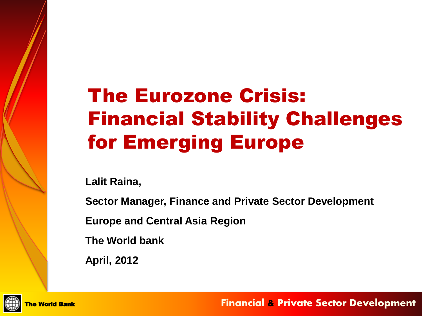# The Eurozone Crisis: Financial Stability Challenges for Emerging Europe

**Lalit Raina,** 

**Sector Manager, Finance and Private Sector Development**

**Europe and Central Asia Region**

**The World bank**

**April, 2012**



**Financial & Private Sector Development**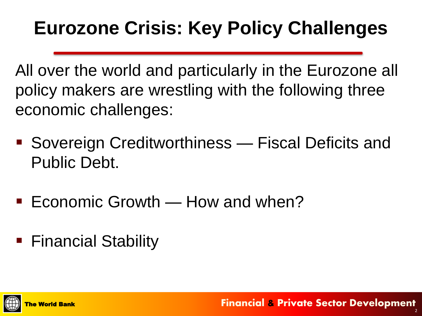# **Eurozone Crisis: Key Policy Challenges**

All over the world and particularly in the Eurozone all policy makers are wrestling with the following three economic challenges:

- Sovereign Creditworthiness Fiscal Deficits and Public Debt.
- Economic Growth  $-$  How and when?
- Financial Stability



**Financial & Private Sector Development**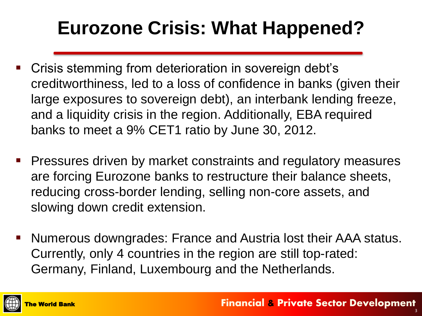# **Eurozone Crisis: What Happened?**

- **EXTE:** Crisis stemming from deterioration in sovereign debt's creditworthiness, led to a loss of confidence in banks (given their large exposures to sovereign debt), an interbank lending freeze, and a liquidity crisis in the region. Additionally, EBA required banks to meet a 9% CET1 ratio by June 30, 2012.
- Pressures driven by market constraints and regulatory measures are forcing Eurozone banks to restructure their balance sheets, reducing cross-border lending, selling non-core assets, and slowing down credit extension.
- Numerous downgrades: France and Austria lost their AAA status. Currently, only 4 countries in the region are still top-rated: Germany, Finland, Luxembourg and the Netherlands.

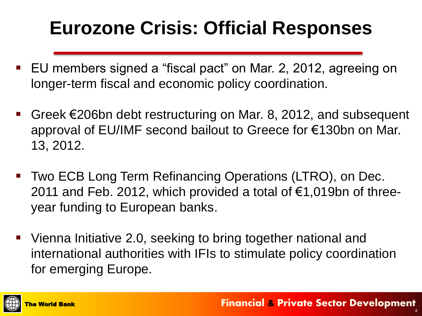# **Eurozone Crisis: Official Responses**

- EU members signed a "fiscal pact" on Mar. 2, 2012, agreeing on longer-term fiscal and economic policy coordination.
- Greek €206bn debt restructuring on Mar. 8, 2012, and subsequent approval of EU/IMF second bailout to Greece for €130bn on Mar. 13, 2012.
- Two ECB Long Term Refinancing Operations (LTRO), on Dec. 2011 and Feb. 2012, which provided a total of  $\epsilon$ 1,019bn of threeyear funding to European banks.
- Vienna Initiative 2.0, seeking to bring together national and international authorities with IFIs to stimulate policy coordination for emerging Europe.

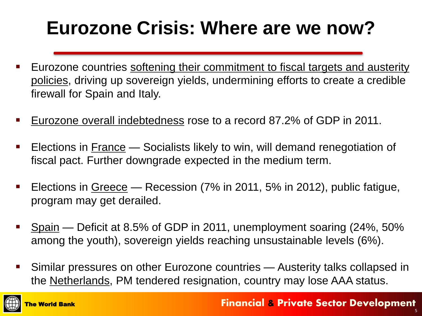# **Eurozone Crisis: Where are we now?**

- Eurozone countries softening their commitment to fiscal targets and austerity policies, driving up sovereign yields, undermining efforts to create a credible firewall for Spain and Italy.
- Eurozone overall indebtedness rose to a record 87.2% of GDP in 2011.
- **Elections in France Socialists likely to win, will demand renegotiation of** fiscal pact. Further downgrade expected in the medium term.
- **Elections in Greece Recession (7% in 2011, 5% in 2012), public fatigue,** program may get derailed.
- Spain Deficit at 8.5% of GDP in 2011, unemployment soaring (24%, 50% among the youth), sovereign yields reaching unsustainable levels (6%).
- Similar pressures on other Eurozone countries Austerity talks collapsed in the Netherlands, PM tendered resignation, country may lose AAA status.

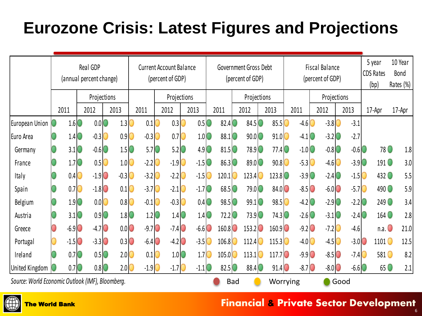### **Eurozone Crisis: Latest Figures and Projections**

|                                                  | Real GDP<br>(annual percent change) |                                     |      |                     |      |                                      | <b>Current Account Balance</b><br>(percent of GDP) |                     |      |                                      |      |                                     | Government Gross Debt |                     |            |                      |  |                      | <b>Fiscal Balance</b> |                     |                     |                                      |  | 5 year            | 10 Year   |         |
|--------------------------------------------------|-------------------------------------|-------------------------------------|------|---------------------|------|--------------------------------------|----------------------------------------------------|---------------------|------|--------------------------------------|------|-------------------------------------|-----------------------|---------------------|------------|----------------------|--|----------------------|-----------------------|---------------------|---------------------|--------------------------------------|--|-------------------|-----------|---------|
|                                                  |                                     |                                     |      |                     |      |                                      |                                                    |                     |      |                                      |      |                                     | (percent of GDP)      |                     |            |                      |  |                      | (percent of GDP)      |                     |                     |                                      |  | <b>CDS Rates</b>  | Bond      |         |
|                                                  |                                     |                                     |      |                     |      |                                      |                                                    |                     |      |                                      |      |                                     |                       |                     |            |                      |  |                      |                       |                     |                     |                                      |  | (bp)              | Rates (%) |         |
|                                                  | Projections                         |                                     |      |                     |      | Projections                          |                                                    |                     |      |                                      |      |                                     |                       | Projections         |            |                      |  |                      |                       | Projections         |                     |                                      |  |                   |           |         |
|                                                  | 2011                                |                                     | 2012 |                     | 2013 |                                      | 2011                                               |                     | 2012 |                                      | 2013 |                                     | 2011                  |                     | 2012       |                      |  | 2013                 | 2011                  |                     | 2012                | 2013                                 |  | 17-Apr            | 17-Apr    |         |
| European Union                                   |                                     | $1.6$ <sup>O</sup>                  |      | 0.0                 |      | 1.3 <sup>°</sup>                     |                                                    | 0.1                 |      | $0.3$ <sup>O</sup>                   |      | $0.5$ <sup>O</sup>                  |                       | 82.4                |            | $84.5$ <sup>O</sup>  |  | 85.5 <sub>1</sub>    |                       | $-4.6$              | $-3.8$              | $-3.1$                               |  |                   |           |         |
| Euro Area                                        |                                     | 1.4                                 |      | $-0.3$              |      | 0.9                                  |                                                    | $-0.3$              |      | 0.7 <sup>°</sup>                     |      | 1.0 <sup>°</sup>                    |                       | 88.1                |            | $90.0$ <sup>O</sup>  |  | 91.0                 |                       | $-4.1$ $\Box$       | $-3.2$              | $-2.7$                               |  |                   |           |         |
| Germany                                          |                                     | 3.1                                 |      | $-0.6$ $\circ$      |      | 1.5 <sup>°</sup>                     |                                                    | 5.7 <sub>l</sub>    |      | $5.2$ $\circ$                        |      | $4.9$ <sup><math>\circ</math></sup> |                       | 81.5                |            | $78.9$ <sup>O</sup>  |  | 77.4                 |                       | $-1.0$ $\circ$      | $-0.8$ $\circ$      | $-0.6$                               |  | 78 O              |           | $1.8\,$ |
| France                                           |                                     | 1.7 <sup>°</sup>                    |      | 0.5 <sub>0</sub>    |      | 1.0 <sub>l</sub>                     |                                                    | $-2.2$              |      | $-1.9$ <sup><math>\circ</math></sup> |      | $-1.5$                              |                       | 86.3                |            | 89.0                 |  | 90.8                 |                       | $-5.3$              | $-4.6$              | $-3.9$ <sup>O</sup>                  |  | 191 <b>O</b>      |           | 3.0     |
| Italy                                            |                                     | 0.4                                 |      | $-1.9$ <sup>O</sup> |      | $-0.3$ <sup><math>\circ</math></sup> |                                                    | $-3.2$              |      | $-2.2$ $\blacksquare$                |      | $-1.5$                              |                       | 120.1               |            | 123.4                |  | $123.8$ <sup>O</sup> |                       | $-3.9$ $\circ$      | $-2.4$              | $-1.5$                               |  | 432 0             |           | 5.5     |
| Spain                                            |                                     | 0.7                                 |      | $-1.8$ 0            |      | 0.1                                  |                                                    | $-3.7$              |      | $-2.1$ C                             |      | $-1.7$ O                            |                       | 68.5                |            | $79.0$ <sup>O</sup>  |  | 84.0                 |                       | $-8.5$              | $-6.0$ <sup>O</sup> | $-5.7$ <sup><math>\circ</math></sup> |  | 490 O             |           | 5.9     |
| Belgium                                          |                                     | $1.9$ <sup><math>\circ</math></sup> |      | 0.0 <sup>°</sup>    |      | 0.8                                  |                                                    | $-0.1$              |      | $-0.3$ <sup><math>\circ</math></sup> |      | 0.4 <sup>o</sup>                    |                       | $98.5$ <sup>O</sup> |            | $99.1$ <sup>O</sup>  |  | $98.5$ <sup>O</sup>  |                       | $-4.2$ $\circ$      | $-2.9$              | $-2.2$ $\circ$                       |  | 249               |           | 3.4     |
| Austria                                          |                                     | 3.1 <sup>o</sup>                    |      | $0.9$ $\bigcirc$    |      | 1.8 <sup>°</sup>                     |                                                    | $1.2$ O             |      | 1.4 <sup>°</sup>                     |      | 1.4 <sup>°</sup>                    |                       | $72.2$ 0            |            | $73.9$ <sup>O</sup>  |  | 74.3                 |                       | $-2.6$              | $-3.1$              | $-2.4$ 0                             |  | 164 <b>O</b>      |           | 2.8     |
| Greece                                           |                                     | $-6.9$ <sup>O</sup>                 |      | $-4.7$ $\circ$      |      | 0.0                                  |                                                    | $-9.7$ <sup>O</sup> |      | $-7.4$ 0                             |      | $-6.6$                              |                       | 160.8               |            | $153.2$ <sup>O</sup> |  | $160.9$ <sup>O</sup> |                       | $-9.2$ 0            | $-7.2$              | $-4.6$                               |  | $n.a.$ $\bigcirc$ |           | 21.0    |
| Portugal                                         |                                     | $-1.5$ <sup>O</sup>                 |      | $-3.3$ 0            |      | $0.3$ <sup>O</sup>                   |                                                    | $-6.4$              |      | $-4.2$ $\circ$                       |      | $-3.5$                              |                       | 106.8               |            | 112.4                |  | 115.3                |                       | $-4.0$              | $-4.5$              | $-3.0$ <sup>O</sup>                  |  | 1101 O            |           | 12.5    |
| Ireland                                          |                                     | 0.7 <sub>1</sub>                    |      | 0.5 <sub>0</sub>    |      | 2.0 <sup>o</sup>                     |                                                    | 0.1                 |      | 1.0 <sup>o</sup>                     |      | 1.7                                 |                       | 105.0               |            | 113.1                |  | $117.7$ <sup>O</sup> |                       | $-9.9$ $\circ$      | $-8.5$ <sup>O</sup> | $-7.4$                               |  | 581 O             |           | 8.2     |
| United Kingdom                                   |                                     | 0.7 <sup>o</sup>                    |      | $0.8$ <sup>O</sup>  |      | 2.0 <sub>0</sub>                     |                                                    | $-1.9$              |      | $-1.7$ <sup>O</sup>                  |      | $-1.1$ <sup>O</sup>                 |                       | $82.5$ 0            |            | 88.4                 |  | $91.4$ 0             |                       | $-8.7$ <sup>O</sup> | $-8.0$ $\bigcirc$   | $-6.6$ $\circ$                       |  | 65 O              |           | 2.1     |
| Source: World Economic Outlook (IMF), Bloomberg. |                                     |                                     |      |                     |      |                                      |                                                    |                     |      |                                      |      |                                     |                       |                     | <b>Bad</b> |                      |  | Worrying             |                       |                     |                     | Good                                 |  |                   |           |         |



#### **The World Bank Research Contract Contract Contract Contract Contract Contract Contract Contract Contract Contract Contract Contract Contract Contract Contract Contract Contract Contract Contract Contract Contract Contract**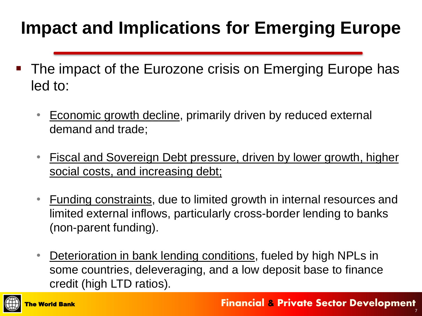### **Impact and Implications for Emerging Europe**

- The impact of the Eurozone crisis on Emerging Europe has led to:
	- **Economic growth decline, primarily driven by reduced external** demand and trade;
	- Fiscal and Sovereign Debt pressure, driven by lower growth, higher social costs, and increasing debt;
	- Funding constraints, due to limited growth in internal resources and limited external inflows, particularly cross-border lending to banks (non-parent funding).
	- Deterioration in bank lending conditions, fueled by high NPLs in some countries, deleveraging, and a low deposit base to finance credit (high LTD ratios).

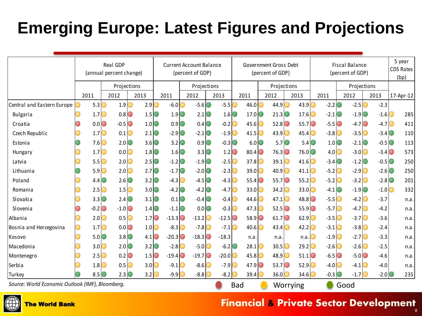### **Emerging Europe: Latest Figures and Projections**

|                                                  |                  |                  | Real GDP<br>(annual percent change) |                                     |         |                     | <b>Current Account Balance</b><br>(percent of GDP) |         |                          |             | Government Gross Debt<br>(percent of GDP) |                     | <b>Fiscal Balance</b><br>(percent of GDP) | 5 year<br><b>CDS Rates</b><br>(bp) |                     |                     |           |  |  |
|--------------------------------------------------|------------------|------------------|-------------------------------------|-------------------------------------|---------|---------------------|----------------------------------------------------|---------|--------------------------|-------------|-------------------------------------------|---------------------|-------------------------------------------|------------------------------------|---------------------|---------------------|-----------|--|--|
|                                                  | 2011             |                  | Projections                         |                                     |         | Projections         |                                                    |         |                          | Projections |                                           |                     |                                           | Projections                        |                     |                     |           |  |  |
|                                                  |                  |                  | 2013<br>2012                        |                                     | 2011    |                     | 2012                                               | 2013    | 2011                     |             | 2012                                      | 2013                | 2011                                      | 2012                               |                     | 2013                | 17-Apr-12 |  |  |
| Central and Eastern Europe                       | 5.3 <sup>°</sup> |                  | 1.9                                 | 2.9                                 |         | $-6.0$              | $-5.6$                                             | $-5.5$  | 46.0                     |             | 44.9                                      | 43.9                | $-2.2$<br>∋                               | O                                  | $-2.5$              | $-2.3$              |           |  |  |
| Bulgaria                                         |                  | 1.7 <sup>°</sup> | 0.8                                 | $1.5$ <sup><math>\circ</math></sup> |         | 1.9                 | $2.1$ <sup>O</sup>                                 | 1.6     | 17.0                     |             | 21.3                                      | $17.6$ <sup>O</sup> | $-2.1$                                    |                                    | $-1.9$ <sup>O</sup> | $-1.6$ <sup>O</sup> | 285       |  |  |
| Croatia                                          |                  | 0.0              | $-0.5$ $\circ$                      | $1.0$ <sup><math>\circ</math></sup> |         | 0.9                 | 0.4                                                | $-0.2$  | 45.6                     |             | 52.8                                      | $55.7$ <sup>O</sup> | $-5.5$ $\circ$                            |                                    | $-4.7$ $\circ$      | $-4.7$ $\circ$      | 411       |  |  |
| Czech Republic                                   |                  | 1.7 <sup>°</sup> | 0.1                                 | $2.1\degree$                        |         | $-2.9$              | $-2.1$ <sup>O</sup>                                | $-1.9$  | 41.5                     |             | 43.9                                      | 45.4                | $-3.8$ $\circ$                            |                                    | $-3.5$              | $-3.4$ $\circ$      | 110       |  |  |
| Estonia                                          |                  | 7.6              | 2.0                                 | $3.6$ <sup><math>\circ</math></sup> |         | $3.2$ $\circ$       | $0.9$ <sup>O</sup>                                 | $-0.3$  |                          | 6.0         | $5.7$ <sup>O</sup>                        | $5.4$ $\odot$       |                                           | $1.0$ <sup>O</sup>                 | $-2.1$ 0            | $-0.5$              | 113       |  |  |
| Hungary                                          |                  | 1.7 <sup>°</sup> | 0.0                                 | 1.8                                 |         | $1.6$ $\odot$       | $3.3$ <sup>O</sup>                                 | 1.2     | $80.4$ $\odot$           |             | 76.3                                      | 76.0 <sub>0</sub>   |                                           | 4.0                                | $-3.0$              | $-3.4$ $\circ$      | 573       |  |  |
| Latvia                                           |                  | 5.5 <sup>o</sup> | 2.0                                 | $2.5$ $\circ$                       |         | $-1.2$ $\circ$      | $-1.9$ <sup>O</sup>                                | $-2.5$  | 37.8 <sup>°</sup>        |             | $39.1$ <sup>O</sup>                       | $41.6$ $\odot$      | $-3.4$ $\circ$                            |                                    | $-1.2$ $\circ$      | $-0.5$              | 250       |  |  |
| Lithuania                                        |                  | 5.9 <sup>°</sup> | 2.0                                 | 2.7 <sup>°</sup>                    |         | $-1.7$ $\odot$      | $-2.0$                                             | $-2.3$  | 39.0                     |             | $40.9$ $\bigcirc$                         | 41.1                | $-5.2$                                    | O                                  | $-2.9$              | $-2.6$ $\circ$      | 250       |  |  |
| Poland                                           |                  | $4.4\circ$       | 2.6                                 | $3.2$ $\circ$                       |         | $-4.3$              | $-4.5$ $\circ$                                     | $-4.3$  | $55.4$ $\circ$           |             | 55.7                                      | 55.2 <sub>1</sub>   | $-5.2$                                    | O                                  | $-3.2$              | $-2.8$              | 201       |  |  |
| Romania                                          |                  | 2.5 <sup>°</sup> | 1.5                                 | $3.0$ <sup><math>\circ</math></sup> |         | $-4.2$ $\circ$      | $-4.2$ $\circ$                                     | $-4.7$  | 33.0 <sub>0</sub>        |             | $34.2$ $\circ$                            | $33.0$ <sup>O</sup> | $-4.1$                                    | O                                  | $-1.9$ $\odot$      | $-1.0$ $\circ$      | 332       |  |  |
| Slovakia                                         |                  | $3.3$ $\circ$    | 2.4 <sub>1</sub>                    | $3.1\degree$                        |         | 0.1                 | $-0.4$ $\circ$                                     | $-0.4$  | 44.6                     |             | $47.1$ $\odot$                            | $48.8$ $\odot$      | $-5.5$ O                                  |                                    | $-4.2$              | $-3.7$              | n.a.      |  |  |
| Slovenia                                         |                  | $-0.2$           | $-1.0$ <sup>O</sup><br>$\bigcirc$   | 1.4 <sup>°</sup>                    |         | $-1.1$ <sup>O</sup> | 0.0                                                | $-0.3$  | 47.3                     |             | 52.5                                      | $55.9$ <sup>O</sup> | $-5.7$ $\circ$                            |                                    | $-4.7$              | $-4.2$              | n.a.      |  |  |
| Albania                                          |                  | 2.0              | 0.5                                 | 1.7 <sup>o</sup>                    | $-13.3$ |                     | $-13.2$                                            | $-12.5$ | $58.9$ <sup>O</sup><br>O |             | 61.7                                      | $62.9$ <sup>O</sup> | $-3.5$                                    |                                    | $-3.7$              | $-3.6$              | n.a.      |  |  |
| Bosnia and Herzegovina                           |                  | 1.7 <sup>°</sup> | 0.0                                 | 1.0 <sub>0</sub>                    |         | $-8.3$              | $-7.8$                                             | $-7.1$  | 40.6                     |             | $43.4$ $\circ$                            | 42.2                | $-3.1$                                    |                                    | $-3.8$              | $-2.4$              | n.a.      |  |  |
| Kosovo                                           |                  | 5.0 <sup>o</sup> | $3.8$ <sup>O</sup>                  | $4.1\degree$                        | $-20.3$ |                     | $-18.3$                                            | $-18.3$ | n.a                      |             | n.a                                       | n.a.                | $-1.9$ <sup>O</sup>                       |                                    | $-2.7$              | $-3.3$              | n.a.      |  |  |
| Macedonia                                        |                  | 3.0 <sup>°</sup> | 2.0                                 | 3.2 <sub>0</sub>                    |         | $-2.8$              | $-5.0$ C                                           | $-6.2$  | 28.1                     |             | 30.5                                      | 29.2                | $-2.6$                                    |                                    | $-2.6$              | $-2.5$              | n.a.      |  |  |
| Montenegro                                       |                  | 2.5 <sup>°</sup> | 0.2                                 | 1.5 <sup>o</sup>                    |         | $-19.4$             | $-19.7$                                            | $-20.0$ | 45.8                     |             | $48.9$ <sup>O</sup>                       | $51.1$ <sup>O</sup> | $-6.5$ <sup>O</sup>                       |                                    | $-5.0$              | $-4.6$              | n.a.      |  |  |
| Serbia                                           |                  | 1.8 <sup>°</sup> | 0.5                                 | 3.0 <sub>0</sub>                    |         | $-9.1$              | $-8.6$                                             | $-7.9$  | 47.9                     |             | $53.7$ <sup>O</sup>                       | $52.9$ <sup>O</sup> | $-4.0$                                    |                                    | $-4.1$              | $-4.0$              | n.a.      |  |  |
| Turkey                                           |                  | 8.5 <sup>°</sup> | 2.3                                 | 3.2 <sup>°</sup>                    |         | $-9.9$              | $-8.8$                                             | $-8.2$  | 39.4                     |             | 36.0                                      | $34.6$ <sup>O</sup> | $-0.3$                                    |                                    | $-1.7$              | $-2.0$              | 235       |  |  |
| Source: World Economic Outlook (IMF), Bloomberg. |                  |                  |                                     |                                     |         |                     |                                                    |         | <b>Bad</b><br>Worrying   |             |                                           |                     |                                           | Good                               |                     |                     |           |  |  |



#### The World Bank **Financial & Private Sector Development**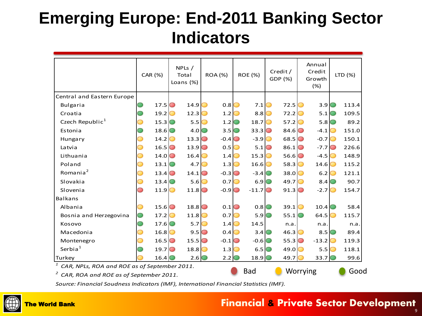### **Emerging Europe: End-2011 Banking Sector Indicators**

|                                                                                                 | CAR (%)            | NPLs /<br>Total<br>Loans (%) |                     | <b>ROA (%)</b> |                   | <b>ROE (%)</b>    | Credit/<br>GDP (%) |                     | Annual<br>Credit<br>Growth<br>(%) |                   |   | LTD (%) |
|-------------------------------------------------------------------------------------------------|--------------------|------------------------------|---------------------|----------------|-------------------|-------------------|--------------------|---------------------|-----------------------------------|-------------------|---|---------|
| Central and Eastern Europe                                                                      |                    |                              |                     |                |                   |                   |                    |                     |                                   |                   |   |         |
| <b>Bulgaria</b>                                                                                 | 17.5               |                              | 14.9                | ◯              | 0.8               | 7.1               |                    | 72.5                |                                   | $3.9$ $\odot$     |   | 113.4   |
| Croatia                                                                                         | 19.2               |                              | 12.3                |                | 1.2               | $8.8$ $\circ$     |                    | 72.2                |                                   | $5.1$ $\odot$     |   | 109.5   |
| Czech Republic <sup>1</sup>                                                                     | 15.3               |                              | 5.5                 |                | $1.2$ $\circ$     | 18.7              |                    | 57.2                |                                   | $5.8$ $\circ$     |   | 89.2    |
| Estonia                                                                                         | 18.6               |                              | 4.0                 |                | $3.5$ $\circ$     | $33.3$ $\odot$    |                    | 84.6                |                                   | $-4.1$            | O | 151.0   |
| Hungary                                                                                         | 14.2               |                              | 13.3                | O              | $-0.4$ $\bullet$  | $-3.9$            |                    | 68.5                |                                   | $-0.7$            | ◯ | 150.1   |
| Latvia                                                                                          | 16.5               |                              | $13.9$ <sup>O</sup> |                | 0.5 <sub>1</sub>  | $5.1$ $\odot$     |                    | $86.1$ <sup>O</sup> |                                   | $-7.7$ $\odot$    |   | 226.6   |
| Lithuania                                                                                       | $14.0\textcircled$ |                              | 16.4                |                | 1.4               | $15.3$ $\bigcirc$ |                    | 56.6                |                                   | $-4.5$            |   | 148.9   |
| Poland                                                                                          | 13.1               |                              | 4.7                 |                | 1.3               | 16.6              | O                  | 58.3                |                                   | $14.6$ $\odot$    |   | 115.2   |
| Romania <sup>2</sup>                                                                            | 13.4               |                              | 14.1                |                | $-0.3$ $\bullet$  | $-3.4$ $\odot$    |                    | 38.0                |                                   | 6.2               |   | 121.1   |
| Slovakia                                                                                        | 13.4               |                              | 5.6                 |                | 0.7               | 6.9               |                    | 49.7                |                                   | $8.4\circ$        |   | 90.7    |
| Slovenia                                                                                        | 11.9               |                              | $11.8$ $\odot$      |                | $-0.9$ $\bigcirc$ | $-11.7$ $\circ$   |                    | 91.3                |                                   | $-2.7$            |   | 154.7   |
| <b>Balkans</b>                                                                                  |                    |                              |                     |                |                   |                   |                    |                     |                                   |                   |   |         |
| Albania                                                                                         | 15.6               |                              | 18.8                |                | 0.1               | 0.8               |                    | 39.1                |                                   | 10.4              |   | 58.4    |
| Bosnia and Herzegovina                                                                          | 17.2               |                              | 11.8                |                | $0.7$ $\odot$     | 5.9               |                    | 55.1                |                                   | 64.5              |   | 115.7   |
| Kosovo                                                                                          | 17.6               |                              | 5.7                 |                | 1.4 <sub>1</sub>  | 14.5              |                    | n.a.                |                                   | n.a.              |   | n.a.    |
| Macedonia                                                                                       | 16.8               |                              | 9.5                 | $\circ$        | 0.4               | $3.4\circ$        |                    | 46.3                |                                   | $8.5\degree$      |   | 89.4    |
| Montenegro                                                                                      | 16.5               |                              | 15.5                | O              | $-0.1$ $\odot$    | $-0.6$ $\bigcirc$ |                    | 55.3                |                                   | $-13.2$           |   | 119.3   |
| Serbia $1$                                                                                      | 19.7               |                              | 18.8                |                | 1.3               | 6.5               |                    | 49.0                |                                   | 5.5 <sub>1</sub>  |   | 118.1   |
| Turkey                                                                                          | 16.4               |                              | 2.6                 |                | 2.2 <sup>°</sup>  | 18.9 <sup>°</sup> |                    | 49.7                |                                   | 33.7 <sup>°</sup> |   | 99.6    |
| $1$ CAR, NPLs, ROA and ROE as of September 2011.<br>$^{2}$ CAR ROA and ROF as of Sontambor 2011 | <b>Bad</b>         |                              | Worrying            |                |                   |                   | Good               |                     |                                   |                   |   |         |

*2 CAR, ROA and ROE as of September 2011.*

*Source: Financial Soudness Indicators (IMF), International Financial Statistics (IMF).*



#### The World Bank **Financial & Private Sector Development**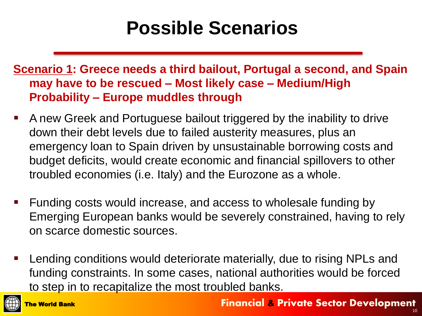## **Possible Scenarios**

**Scenario 1: Greece needs a third bailout, Portugal a second, and Spain may have to be rescued – Most likely case – Medium/High Probability – Europe muddles through**

- A new Greek and Portuguese bailout triggered by the inability to drive down their debt levels due to failed austerity measures, plus an emergency loan to Spain driven by unsustainable borrowing costs and budget deficits, would create economic and financial spillovers to other troubled economies (i.e. Italy) and the Eurozone as a whole.
- Funding costs would increase, and access to wholesale funding by Emerging European banks would be severely constrained, having to rely on scarce domestic sources.
- Lending conditions would deteriorate materially, due to rising NPLs and funding constraints. In some cases, national authorities would be forced to step in to recapitalize the most troubled banks.

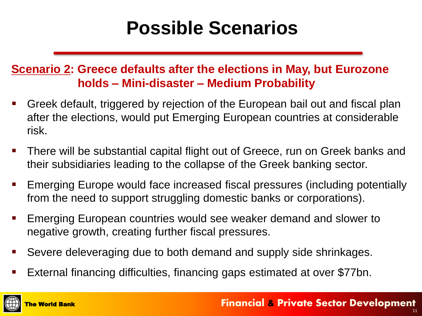## **Possible Scenarios**

#### **Scenario 2: Greece defaults after the elections in May, but Eurozone holds – Mini-disaster – Medium Probability**

- Greek default, triggered by rejection of the European bail out and fiscal plan after the elections, would put Emerging European countries at considerable risk.
- There will be substantial capital flight out of Greece, run on Greek banks and their subsidiaries leading to the collapse of the Greek banking sector.
- Emerging Europe would face increased fiscal pressures (including potentially from the need to support struggling domestic banks or corporations).
- Emerging European countries would see weaker demand and slower to negative growth, creating further fiscal pressures.
- Severe deleveraging due to both demand and supply side shrinkages.
- External financing difficulties, financing gaps estimated at over \$77bn.